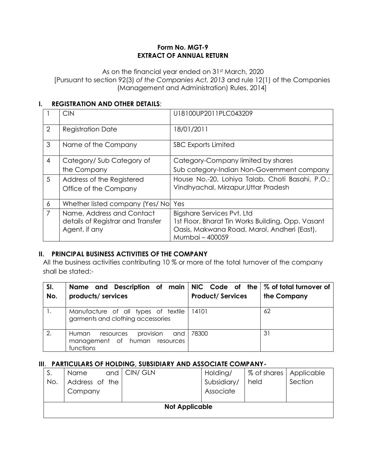### **Form No. MGT-9 EXTRACT OF ANNUAL RETURN**

As on the financial year ended on 31<sup>st</sup> March, 2020 [Pursuant to section 92(3) *of the Companies Act, 2013* and rule 12(1) of the Companies (Management and Administration) Rules, 2014]

### **I. REGISTRATION AND OTHER DETAILS**:

|                | <b>CIN</b>                          | U18100UP2011PLC043209                             |
|----------------|-------------------------------------|---------------------------------------------------|
| 2              | <b>Registration Date</b>            | 18/01/2011                                        |
| 3              | Name of the Company                 | <b>SBC Exports Limited</b>                        |
| $\overline{4}$ | Category/Sub Category of            | Category-Company limited by shares                |
|                | the Company                         | Sub category-Indian Non-Government company        |
| 5              | Address of the Registered           | House No.-20, Lohiya Talab, Choti Basahi, P.O.:   |
|                | Office of the Company               | Vindhyachal, Mirzapur, Uttar Pradesh              |
|                |                                     |                                                   |
| 6              | Whether listed company (Yes/ No Yes |                                                   |
| $\overline{7}$ | Name, Address and Contact           | <b>Bigshare Services Pvt. Ltd</b>                 |
|                | details of Registrar and Transfer   | 1st Floor, Bharat Tin Works Building, Opp. Vasant |
|                | Agent, if any                       | Oasis, Makwana Road, Marol, Andheri (East),       |
|                |                                     | Mumbai - 400059                                   |

### **II. PRINCIPAL BUSINESS ACTIVITIES OF THE COMPANY**

All the business activities contributing 10 % or more of the total turnover of the company shall be stated:-

| SI.<br>No. | Name and Description of main NIC Code of the $\%$ of total turnover of<br>products/ services | <b>Product/Services</b> | the Company |
|------------|----------------------------------------------------------------------------------------------|-------------------------|-------------|
|            | Manufacture of all types of textile<br>garments and clothing accessories                     | 14101                   | 62          |
| 2.         | provision<br>and I<br>Human<br>resources<br>management of human resources<br>functions       | 78300                   | 31          |

### **III**. **PARTICULARS OF HOLDING, SUBSIDIARY AND ASSOCIATE COMPANY-**

| S.<br>No. | Name<br>Address of the<br>Company | and   CIN/ GLN        | Holding/<br>Subsidiary/<br>Associate | % of shares   Applicable<br>held | Section |
|-----------|-----------------------------------|-----------------------|--------------------------------------|----------------------------------|---------|
|           |                                   | <b>Not Applicable</b> |                                      |                                  |         |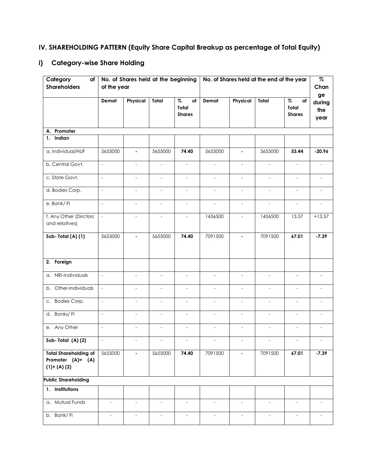# **IV. SHAREHOLDING PATTERN (Equity Share Capital Breakup as percentage of Total Equity)**

# **i) Category-wise Share Holding**

| Category<br>of<br><b>Shareholders</b>                                | of the year              |                          | No. of Shares held at the beginning |                                      |                          |                          | No. of Shares held at the end of the year |                                      | $\%$<br>Chan                |
|----------------------------------------------------------------------|--------------------------|--------------------------|-------------------------------------|--------------------------------------|--------------------------|--------------------------|-------------------------------------------|--------------------------------------|-----------------------------|
|                                                                      | Demat                    | Physical                 | Total                               | $\%$<br>of<br>Total<br><b>Shares</b> | Demat                    | Physical                 | Total                                     | $\%$<br>of<br>Total<br><b>Shares</b> | ge<br>during<br>the<br>year |
| A. Promoter                                                          |                          |                          |                                     |                                      |                          |                          |                                           |                                      |                             |
| 1. Indian                                                            |                          |                          |                                     |                                      |                          |                          |                                           |                                      |                             |
| a. Individual/HUF                                                    | 5655000                  | $\blacksquare$           | 5655000                             | 74.40                                | 5655000                  | $\blacksquare$           | 5655000                                   | 53.44                                | $-20.96$                    |
| b. Central Govt.                                                     | $\frac{1}{2}$            | $\overline{\phantom{a}}$ | $\bar{\phantom{a}}$                 | $\overline{\phantom{a}}$             | $\overline{\phantom{a}}$ | $\overline{\phantom{a}}$ | $\overline{\phantom{a}}$                  | $\blacksquare$                       |                             |
| c. State Govt.                                                       | $\overline{\phantom{a}}$ | $\overline{\phantom{a}}$ |                                     |                                      |                          |                          |                                           |                                      |                             |
| d. Bodies Corp.                                                      | $\frac{1}{2}$            | $\qquad \qquad -$        | $\overline{\phantom{a}}$            | $\overline{\phantom{a}}$             | $\blacksquare$           | $\overline{\phantom{a}}$ | $\overline{\phantom{a}}$                  | $\overline{\phantom{a}}$             | $\overline{a}$              |
| e. Bank/FI                                                           | $\overline{\phantom{a}}$ | $\overline{\phantom{a}}$ | $\frac{1}{2}$                       | $\qquad \qquad \blacksquare$         | $\overline{\phantom{a}}$ | $\overline{\phantom{a}}$ | $\overline{\phantom{a}}$                  | $\overline{\phantom{a}}$             |                             |
| f. Any Other (Dirctors<br>and relatives)                             | $\overline{a}$           | $\overline{\phantom{a}}$ | $\overline{a}$                      | $\overline{\phantom{a}}$             | 1436500                  | $\overline{\phantom{a}}$ | 1436500                                   | 13.57                                | $+13.57$                    |
| Sub-Total (A) (1)                                                    | 5655000                  | $\blacksquare$           | 5655000                             | 74.40                                | 7091500                  | $\blacksquare$           | 7091500                                   | 67.01                                | $-7.39$                     |
| 2. Foreign                                                           |                          |                          |                                     |                                      |                          |                          |                                           |                                      |                             |
| a. NRI-Individuals                                                   | $\overline{\phantom{a}}$ | $\overline{\phantom{a}}$ | $\frac{1}{2}$                       | $\qquad \qquad \blacksquare$         | $\overline{\phantom{a}}$ | $\overline{\phantom{a}}$ | $\overline{\phantom{a}}$                  | $\overline{\phantom{a}}$             |                             |
| Other-Individuals<br>b.                                              | $\mathcal{L}$            | $\equiv$                 | $\blacksquare$                      | $\overline{\phantom{a}}$             | $\mathbb{L}$             | $\blacksquare$           | $\overline{\phantom{a}}$                  | $\blacksquare$                       | $\overline{a}$              |
| c. Bodies Corp.                                                      | $\frac{1}{2}$            | $\overline{\phantom{a}}$ | $\bar{\phantom{a}}$                 | $\overline{\phantom{a}}$             | $\overline{\phantom{a}}$ | $\overline{\phantom{a}}$ | $\overline{\phantom{a}}$                  | $\overline{\phantom{a}}$             |                             |
| d. Banks/FI                                                          | $\frac{1}{2}$            | $\overline{\phantom{a}}$ | $\overline{a}$                      | $\overline{a}$                       | $\overline{a}$           | $\overline{a}$           |                                           | $\overline{a}$                       |                             |
| e. Any Other                                                         | $\overline{\phantom{0}}$ | $\overline{\phantom{a}}$ | $\overline{\phantom{m}}$            | $\overline{\phantom{a}}$             | $\overline{\phantom{a}}$ | $\overline{\phantom{a}}$ | $\overline{a}$                            | $\overline{\phantom{a}}$             |                             |
| Sub-Total (A)(2)                                                     | $\sim$                   | $\overline{\phantom{a}}$ | $\overline{\phantom{a}}$            | $\overline{\phantom{a}}$             | $\blacksquare$           | $\overline{\phantom{a}}$ | $\blacksquare$                            | $\overline{\phantom{a}}$             |                             |
| <b>Total Shareholding of</b><br>Promoter $(A) = (A)$<br>$(1)+(A)(2)$ | 5655000                  | $\blacksquare$           | 5655000                             | 74.40                                | 7091500                  |                          | 7091500                                   | 67.01                                | $-7.39$                     |
| <b>Public Shareholding</b>                                           |                          |                          |                                     |                                      |                          |                          |                                           |                                      |                             |
| 1. Institutions                                                      |                          |                          |                                     |                                      |                          |                          |                                           |                                      |                             |
| a. Mutual Funds                                                      | $\sim$                   | $\overline{\phantom{a}}$ | $\blacksquare$                      | $\overline{\phantom{a}}$             | $\overline{\phantom{a}}$ | $\overline{\phantom{a}}$ | $\overline{\phantom{a}}$                  | $\blacksquare$                       | $\overline{a}$              |
| b. Bank/FI                                                           | $\overline{\phantom{a}}$ | $\overline{\phantom{a}}$ | $\overline{\phantom{a}}$            | $\qquad \qquad \blacksquare$         | $\overline{\phantom{a}}$ | $\overline{\phantom{a}}$ | $\overline{\phantom{a}}$                  | $\overline{\phantom{a}}$             |                             |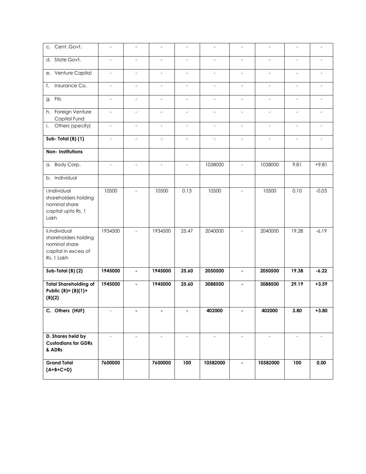| c. Cent. Govt.                                                                               | $\overline{\phantom{a}}$ | $\frac{1}{2}$            | $\overline{\phantom{a}}$ | $\overline{a}$           | $\overline{\phantom{a}}$ | $\overline{\phantom{a}}$ | $\overline{\phantom{a}}$ | $\overline{\phantom{m}}$ |                          |
|----------------------------------------------------------------------------------------------|--------------------------|--------------------------|--------------------------|--------------------------|--------------------------|--------------------------|--------------------------|--------------------------|--------------------------|
| d. State Govt.                                                                               | $\overline{a}$           |                          |                          |                          |                          |                          |                          | $\overline{a}$           |                          |
| Venture Capital<br>е.                                                                        | $\overline{\phantom{a}}$ | $\overline{\phantom{a}}$ | $\overline{\phantom{a}}$ | $\overline{\phantom{a}}$ | $\overline{\phantom{a}}$ | $\frac{1}{2}$            | $\overline{\phantom{a}}$ | $\blacksquare$           | $\overline{a}$           |
| Insurance Co.<br>f.                                                                          | $\qquad \qquad -$        | $\overline{\phantom{a}}$ | $\overline{\phantom{a}}$ | $\overline{\phantom{a}}$ | $\qquad \qquad -$        | $\overline{\phantom{a}}$ | $\overline{\phantom{a}}$ | $\qquad \qquad -$        | $\overline{\phantom{a}}$ |
| g. Flls                                                                                      | $\overline{\phantom{a}}$ | $\overline{a}$           | $\overline{a}$           | $\overline{a}$           | $\overline{\phantom{a}}$ | $\frac{1}{2}$            | $\overline{a}$           | $\overline{\phantom{a}}$ |                          |
| h. Foreign Venture<br>Capital Fund                                                           | $\overline{\phantom{a}}$ | $\overline{\phantom{a}}$ | $\overline{\phantom{a}}$ | $\overline{\phantom{a}}$ | $\qquad \qquad -$        | $\overline{\phantom{a}}$ | $\overline{\phantom{a}}$ | $\overline{\phantom{a}}$ | $\overline{\phantom{a}}$ |
| Others (specify)<br>i.                                                                       | $\overline{\phantom{a}}$ | $\bar{\phantom{a}}$      | $\overline{\phantom{a}}$ | $\overline{\phantom{a}}$ | $\bar{\phantom{a}}$      | $\overline{\phantom{a}}$ | $\bar{\phantom{a}}$      | $\bar{\mathcal{A}}$      | $\overline{\phantom{a}}$ |
| Sub-Total (B) (1)                                                                            | $\overline{a}$           |                          | $\overline{a}$           | $\overline{a}$           | $\overline{a}$           | $\overline{a}$           | $\overline{a}$           | $\overline{a}$           |                          |
| Non-Institutions                                                                             |                          |                          |                          |                          |                          |                          |                          |                          |                          |
| a. Body Corp.                                                                                | $\overline{\phantom{a}}$ | $\qquad \qquad \Box$     | $\overline{\phantom{a}}$ | $\centerdot$             | 1038000                  | $\frac{1}{2}$            | 1038000                  | 9.81                     | $+9.81$                  |
| b. Individual                                                                                |                          |                          |                          |                          |                          |                          |                          |                          |                          |
| i.Individual<br>shareholders holding<br>nominal share<br>capital upto Rs. 1<br>Lakh          | 10500                    | $\overline{a}$           | 10500                    | 0.13                     | 10500                    | $\frac{1}{2}$            | 10500                    | 0.10                     | $-0.03$                  |
| ii.Individual<br>shareholders holding<br>nominal share<br>capital in excess of<br>Rs. 1 Lakh | 1934500                  | $\overline{\phantom{a}}$ | 1934500                  | 25.47                    | 2040000                  | $\overline{\phantom{a}}$ | 2040000                  | 19.28                    | $-6.19$                  |
| Sub-Total (B) (2)                                                                            | 1945000                  | $\blacksquare$           | 1945000                  | 25.60                    | 2050500                  | $\blacksquare$           | 2050500                  | 19.38                    | $-6.22$                  |
| <b>Total Shareholding of</b><br>Public $(B)=(B)(1)+$<br>(B)(2)                               | 1945000                  | ä,                       | 1945000                  | 25.60                    | 3088500                  | $\blacksquare$           | 3088500                  | 29.19                    | $+3.59$                  |
| C. Others (HUF)                                                                              |                          |                          |                          |                          | 402000                   |                          | 402000                   | 3.80                     | $+3.80$                  |
| D. Shares held by<br><b>Custodians for GDRs</b><br>& ADRs                                    | $\overline{a}$           |                          | $\overline{a}$           | $\overline{a}$           | $\overline{a}$           |                          | ÷                        | $\overline{a}$           |                          |
| <b>Grand Total</b><br>$(A+B+C+D)$                                                            | 7600000                  |                          | 7600000                  | 100                      | 10582000                 | $\blacksquare$           | 10582000                 | 100                      | 0.00                     |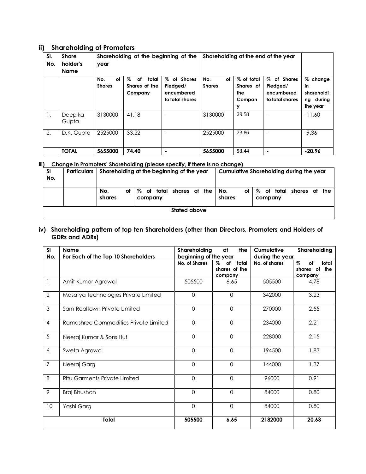### **ii) Shareholding of Promoters**

| SI.<br>No. | <b>Share</b><br>holder's<br>Name | year                       | Shareholding at the beginning of the         |                                                             | Shareholding at the end of the year |                                               |                                                             |                                                          |
|------------|----------------------------------|----------------------------|----------------------------------------------|-------------------------------------------------------------|-------------------------------------|-----------------------------------------------|-------------------------------------------------------------|----------------------------------------------------------|
|            |                                  | No.<br>оf<br><b>Shares</b> | total<br>Z<br>of<br>Shares of the<br>Company | of Shares<br>%<br>Pledged/<br>encumbered<br>to total shares | No.<br>οf<br><b>Shares</b>          | % of total<br>Shares of<br>the<br>Compan<br>у | of Shares<br>%<br>Pledged/<br>encumbered<br>to total shares | % change<br>in<br>shareholdi<br>during<br>ng<br>the year |
| Ι.         | Deepika<br>Gupta                 | 3130000                    | 41.18                                        |                                                             | 3130000                             | 29.58                                         |                                                             | $-11.60$                                                 |
| 2.         | D.K. Gupta                       | 2525000                    | 33.22                                        |                                                             | 2525000                             | 23.86                                         |                                                             | $-9.36$                                                  |
|            | <b>TOTAL</b>                     | 5655000                    | 74.40                                        |                                                             | 5655000                             | 53.44                                         |                                                             | $-20.96$                                                 |

#### **iii) Change in Promoters' Shareholding (please specify, if there is no change)**

| <b>SI</b><br>No. | Particulars | Shareholding at the beginning of the year |                                       | Cumulative Shareholding during the year                       |  |  |  |
|------------------|-------------|-------------------------------------------|---------------------------------------|---------------------------------------------------------------|--|--|--|
|                  |             | No.<br>оf<br>shares                       | । % of total shares of the<br>company | of total shares of the<br>%<br>No.<br>оf<br>shares<br>company |  |  |  |
|                  |             |                                           | Stated above                          |                                                               |  |  |  |

#### **iv) Shareholding pattern of top ten Shareholders (other than Directors, Promoters and Holders of GDRs and ADRs)**

| SI             | <b>Name</b>                           | Shareholding          | at<br>the                                       | Cumulative      | Shareholding                                                         |
|----------------|---------------------------------------|-----------------------|-------------------------------------------------|-----------------|----------------------------------------------------------------------|
| No.            | For Each of the Top 10 Shareholders   | beginning of the year |                                                 | during the year |                                                                      |
|                |                                       | <b>No. of Shares</b>  | $\%$<br>total<br>of<br>shares of the<br>company | No. of shares   | $\mathcal{Z}_{\alpha}$<br>total<br>of<br>the<br>shares of<br>company |
| 1              | Amit Kumar Agrawal                    | 505500                | 6.65                                            | 505500          | 4.78                                                                 |
| $\overline{2}$ | Masatya Technologies Private Limited  | $\Omega$              | $\Omega$                                        | 342000          | 3.23                                                                 |
| 3              | Sam Realtown Private Limited          | $\mathbf 0$           | $\mathbf 0$                                     | 270000          | 2.55                                                                 |
| $\overline{4}$ | Ramashree Commodities Private Limited | $\Omega$              | $\Omega$                                        | 234000          | 2.21                                                                 |
| 5              | Neeraj Kumar & Sons Huf               | $\Omega$              | $\Omega$                                        | 228000          | 2.15                                                                 |
| 6              | Sweta Agrawal                         | $\Omega$              | $\Omega$                                        | 194500          | 1.83                                                                 |
| $\overline{7}$ | Neeraj Garg                           | $\Omega$              | $\Omega$                                        | 144000          | 1.37                                                                 |
| 8              | <b>Ritu Garments Private Limited</b>  | $\overline{0}$        | $\Omega$                                        | 96000           | 0.91                                                                 |
| 9              | Braj Bhushan                          | $\Omega$              | $\Omega$                                        | 84000           | 0.80                                                                 |
| 10             | Yashi Garg                            | $\mathbf 0$           | $\mathbf 0$                                     | 84000           | 0.80                                                                 |
|                | Total                                 | 505500                | 6.65                                            | 2182000         | 20.63                                                                |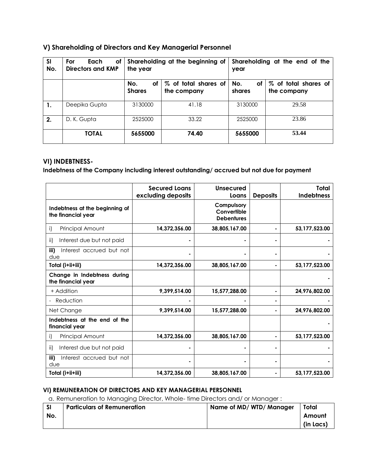### **V) Shareholding of Directors and Key Managerial Personnel**

| <b>SI</b><br>No. | For<br>оf<br>Each<br>Directors and KMP | the year                   | Shareholding at the beginning of                     | Shareholding at the end of the<br>year |                                     |  |  |
|------------------|----------------------------------------|----------------------------|------------------------------------------------------|----------------------------------------|-------------------------------------|--|--|
|                  |                                        | No.<br>оf<br><b>Shares</b> | % of total shares of<br>No.<br>shares<br>the company |                                        | % of total shares of<br>the company |  |  |
| 1.               | Deepika Gupta                          | 3130000                    | 41.18                                                | 3130000                                | 29.58                               |  |  |
| 2.               | D. K. Gupta                            | 2525000                    | 33.22                                                | 2525000                                | 23.86                               |  |  |
|                  | <b>TOTAL</b>                           | 5655000                    | 74.40                                                | 5655000                                | 53.44                               |  |  |

### **VI) INDEBTNESS-**

**Indebtness of the Company including interest outstanding/ accrued but not due for payment**

|                                                      | <b>Secured Loans</b><br>excluding deposits | Unsecured<br>Loans                             | <b>Deposits</b> | Total<br><b>Indebtness</b> |
|------------------------------------------------------|--------------------------------------------|------------------------------------------------|-----------------|----------------------------|
| Indebtness at the beginning of<br>the financial year |                                            | Compulsory<br>Convertible<br><b>Debentures</b> |                 |                            |
| Principal Amount<br>i)                               | 14,372,356.00                              | 38,805,167.00                                  |                 | 53,177,523.00              |
| Interest due but not paid<br>ii)                     |                                            |                                                |                 |                            |
| iii)<br>Interest accrued but not<br>due              |                                            |                                                |                 |                            |
| Total (i+ii+iii)                                     | 14,372,356.00                              | 38,805,167.00                                  |                 | 53,177,523.00              |
| Change in Indebtness during<br>the financial year    |                                            |                                                |                 |                            |
| + Addition                                           | 9,399,514.00                               | 15,577,288.00                                  |                 | 24,976,802.00              |
| Reduction                                            |                                            |                                                |                 |                            |
| Net Change                                           | 9.399.514.00                               | 15.577.288.00                                  |                 | 24.976.802.00              |
| Indebtness at the end of the<br>financial year       |                                            |                                                |                 |                            |
| Principal Amount<br>i)                               | 14,372,356.00                              | 38,805,167.00                                  |                 | 53,177,523.00              |
| ii)<br>Interest due but not paid                     |                                            |                                                |                 |                            |
| iii)<br>Interest accrued but not<br>due              |                                            |                                                |                 |                            |
| Total (i+ii+iii)                                     | 14,372,356.00                              | 38,805,167.00                                  |                 | 53,177,523.00              |

### **VI) REMUNERATION OF DIRECTORS AND KEY MANAGERIAL PERSONNEL**

a. Remuneration to Managing Director, Whole- time Directors and/ or Manager :

| -SI | <b>Particulars of Remuneration</b> | Name of MD/WTD/Manager | Total     |
|-----|------------------------------------|------------------------|-----------|
| No. |                                    |                        | Amount    |
|     |                                    |                        | (in Lacs) |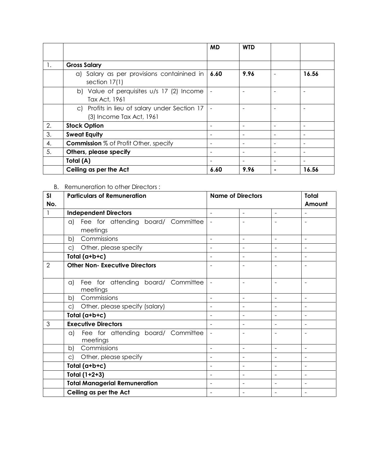|    |                                                                           | <b>MD</b> | <b>WTD</b> |       |
|----|---------------------------------------------------------------------------|-----------|------------|-------|
| 1. | <b>Gross Salary</b>                                                       |           |            |       |
|    | a) Salary as per provisions containined in<br>section $17(1)$             | 6.60      | 9.96       | 16.56 |
|    | b) Value of perquisites u/s 17 (2) Income<br>Tax Act, 1961                |           |            |       |
|    | c) Profits in lieu of salary under Section 17<br>(3) Income Tax Act, 1961 |           |            |       |
| 2. | <b>Stock Option</b>                                                       |           |            |       |
| 3. | <b>Sweat Equity</b>                                                       |           |            |       |
| 4. | <b>Commission</b> % of Profit Other, specify                              |           |            |       |
| 5. | Others, please specify                                                    |           |            |       |
|    | Total (A)                                                                 |           |            |       |
|    | Ceiling as per the Act                                                    | 6.60      | 9.96       | 16.56 |

B. Remuneration to other Directors :

| SI             | <b>Particulars of Remuneration</b>                   | <b>Name of Directors</b> |                          |                          | <b>Total</b>             |
|----------------|------------------------------------------------------|--------------------------|--------------------------|--------------------------|--------------------------|
| No.            |                                                      |                          |                          |                          | Amount                   |
|                | <b>Independent Directors</b>                         | $\blacksquare$           | $\overline{\phantom{0}}$ | $\overline{\phantom{a}}$ | $\overline{\phantom{a}}$ |
|                | Fee for attending board/ Committee<br>$\alpha$       |                          |                          |                          |                          |
|                | meetings                                             |                          |                          |                          |                          |
|                | Commissions<br>b)                                    | $\sim$                   | ÷,                       | $\blacksquare$           | $\blacksquare$           |
|                | Other, please specify<br>$\mathsf{C}$                |                          |                          |                          |                          |
|                | Total (a+b+c)                                        | $\blacksquare$           | -                        | $\overline{\phantom{a}}$ | $\overline{\phantom{a}}$ |
| $\overline{2}$ | <b>Other Non- Executive Directors</b>                |                          |                          |                          |                          |
|                |                                                      |                          |                          |                          |                          |
|                | Fee for attending board/ Committee<br>a)             |                          |                          | $\blacksquare$           | $\overline{\phantom{a}}$ |
|                | meetings                                             |                          |                          |                          |                          |
|                | Commissions<br>b)                                    |                          |                          | $\blacksquare$           | $\blacksquare$           |
|                | Other, please specify (salary)<br>$\circ$ )          | $\overline{\phantom{0}}$ | $\overline{\phantom{0}}$ | $\overline{\phantom{a}}$ |                          |
|                | Total (a+b+c)                                        |                          |                          | $\blacksquare$           | $\overline{\phantom{a}}$ |
| 3              | <b>Executive Directors</b>                           | $\overline{\phantom{a}}$ | $\overline{\phantom{a}}$ | $\blacksquare$           | $\blacksquare$           |
|                | Fee for attending board/ Committee<br>a)<br>meetings | $\blacksquare$           |                          |                          | $\blacksquare$           |
|                | Commissions<br>b)                                    |                          |                          |                          |                          |
|                | Other, please specify<br>$\mathsf{C}$                | $\overline{\phantom{a}}$ |                          | $\blacksquare$           | $\blacksquare$           |
|                | Total (a+b+c)                                        | $\overline{\phantom{0}}$ | $\overline{\phantom{0}}$ | $\blacksquare$           | $\blacksquare$           |
|                | Total $(1+2+3)$                                      |                          |                          |                          | $\overline{\phantom{a}}$ |
|                | <b>Total Managerial Remuneration</b>                 | $\blacksquare$           |                          | $\blacksquare$           | $\blacksquare$           |
|                | Ceiling as per the Act                               |                          |                          |                          |                          |